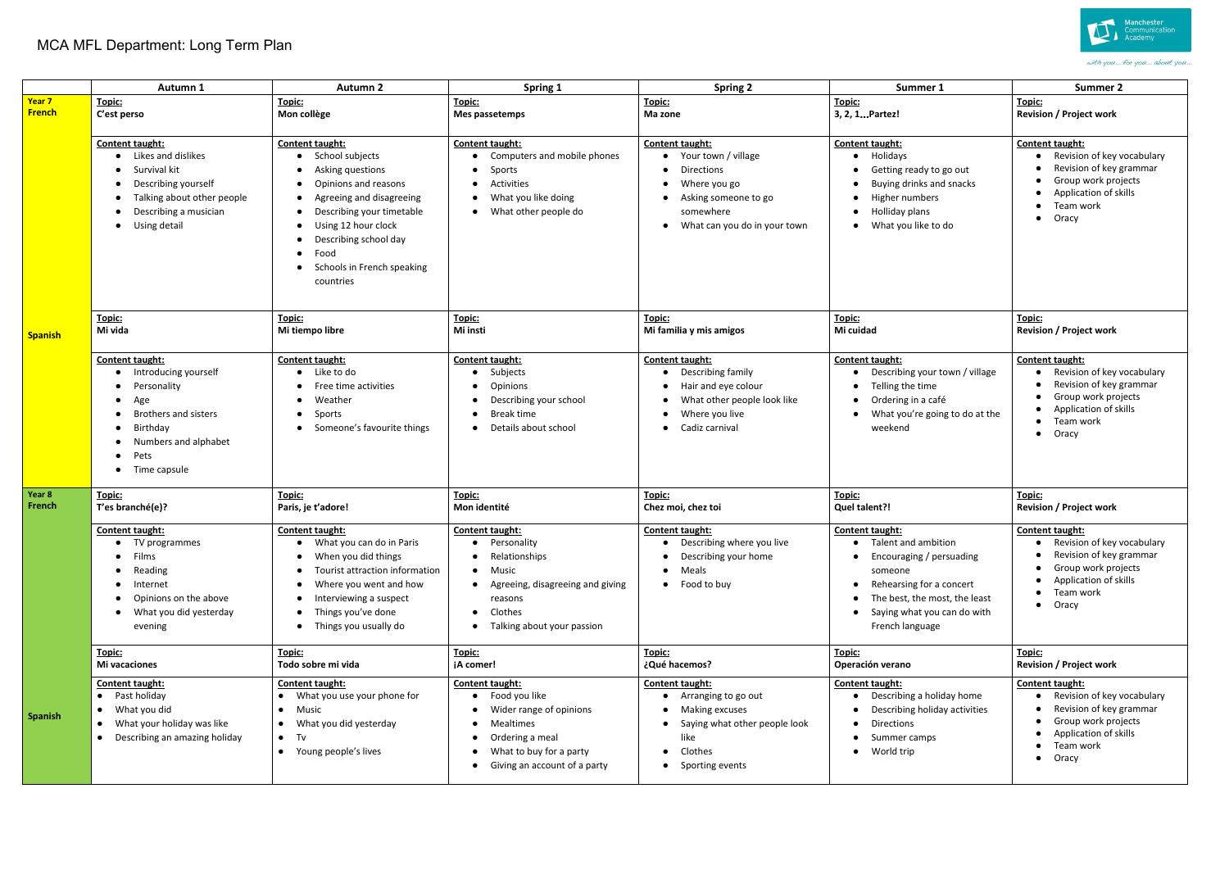## MCA MFL Department: Long Term Plan

|                         | Autumn 1                                                                                                                                                                             | Autumn 2                                                                                                                                                                                                                                   | Spring 1                                                                                                                                                                | <b>Spring 2</b>                                                                                                                              | Summer 1                                                                                                                                                                                                                 | Summer 2                                                                                                                                                                   |
|-------------------------|--------------------------------------------------------------------------------------------------------------------------------------------------------------------------------------|--------------------------------------------------------------------------------------------------------------------------------------------------------------------------------------------------------------------------------------------|-------------------------------------------------------------------------------------------------------------------------------------------------------------------------|----------------------------------------------------------------------------------------------------------------------------------------------|--------------------------------------------------------------------------------------------------------------------------------------------------------------------------------------------------------------------------|----------------------------------------------------------------------------------------------------------------------------------------------------------------------------|
| Year 7<br><b>French</b> | Topic:<br>C'est perso                                                                                                                                                                | Topic:<br>Mon collège                                                                                                                                                                                                                      | Topic:<br>Mes passetemps                                                                                                                                                | Topic:<br>Ma zone                                                                                                                            | Topic:<br>3, 2, 1 Partez!                                                                                                                                                                                                | Topic:<br><b>Revision / Project work</b>                                                                                                                                   |
|                         | Content taught:<br>• Likes and dislikes<br>• Survival kit<br>• Describing yourself<br>Talking about other people<br>Describing a musician<br>$\bullet$<br>• Using detail             | Content taught:<br>School subjects<br>Asking questions<br>Opinions and reasons<br>Agreeing and disagreeing<br>Describing your timetable<br>Using 12 hour clock<br>Describing school day<br>Food<br>Schools in French speaking<br>countries | Content taught:<br>Computers and mobile phones<br>Sports<br>$\bullet$<br>Activities<br>$\bullet$<br>What you like doing<br>• What other people do                       | Content taught:<br>Your town / village<br>Directions<br>Where you go<br>Asking someone to go<br>somewhere<br>What can you do in your town    | Content taught:<br>Holidays<br>$\bullet$<br>Getting ready to go out<br>Buying drinks and snacks<br>Higher numbers<br>Holliday plans<br>$\bullet$<br>What you like to do<br>$\bullet$                                     | Content taught:<br>Revision of key vocabulary<br>Revision of key grammar<br>Group work projects<br>Application of skills<br>Team work<br>$\bullet$<br>Oracy<br>$\bullet$   |
| <b>Spanish</b>          | Topic:<br>Mi vida                                                                                                                                                                    | Topic:<br>Mi tiempo libre                                                                                                                                                                                                                  | Topic:<br>Mi insti                                                                                                                                                      | Topic:<br>Mi familia y mis amigos                                                                                                            | Topic:<br>Mi cuidad                                                                                                                                                                                                      | Topic:<br><b>Revision / Project work</b>                                                                                                                                   |
|                         | Content taught:<br>• Introducing yourself<br>Personality<br>$\bullet$<br>$\bullet$ Age<br>• Brothers and sisters<br>• Birthday<br>• Numbers and alphabet<br>• Pets<br>• Time capsule | Content taught:<br>Like to do<br>Free time activities<br>Weather<br>Sports<br>Someone's favourite things                                                                                                                                   | Content taught:<br>Subjects<br>Opinions<br>Describing your school<br>Break time<br>Details about school                                                                 | Content taught:<br>Describing family<br>Hair and eye colour<br>What other people look like<br>Where you live<br>Cadiz carnival               | Content taught:<br>Describing your town / village<br>Telling the time<br>Ordering in a café<br>What you're going to do at the<br>weekend                                                                                 | Content taught:<br>Revision of key vocabulary<br>Revision of key grammar<br>Group work projects<br>Application of skills<br>Team work<br>$\bullet$<br>Oracy<br>$\bullet$   |
| Year 8<br>French        | Topic:<br>T'es branché(e)?                                                                                                                                                           | Topic:<br>Paris, je t'adore!                                                                                                                                                                                                               | Topic:<br>Mon identité                                                                                                                                                  | Topic:<br>Chez moi, chez toi                                                                                                                 | Topic:<br>Quel talent?!                                                                                                                                                                                                  | Topic:<br><b>Revision / Project work</b>                                                                                                                                   |
|                         | Content taught:<br>• TV programmes<br>• Films<br>Reading<br>$\bullet$<br>$\bullet$ Internet<br>Opinions on the above<br>$\bullet$<br>What you did yesterday<br>$\bullet$<br>evening  | Content taught:<br>• What you can do in Paris<br>When you did things<br>Tourist attraction information<br>Where you went and how<br>Interviewing a suspect<br>Things you've done<br>Things you usually do                                  | Content taught:<br>· Personality<br>• Relationships<br>• Music<br>• Agreeing, disagreeing and giving<br>reasons<br>Clothes<br>• Talking about your passion              | Content taught:<br>• Describing where you live<br>Describing your home<br>Meals<br>$\bullet$<br>• Food to buy                                | Content taught:<br>• Talent and ambition<br>Encouraging / persuading<br>$\bullet$<br>someone<br>Rehearsing for a concert<br>$\bullet$<br>The best, the most, the least<br>Saying what you can do with<br>French language | Content taught:<br>• Revision of key vocabulary<br>Revision of key grammar<br>Group work projects<br>Application of skills<br>Team work<br>$\bullet$<br>Oracy<br>$\bullet$ |
|                         | Topic:<br>Mi vacaciones                                                                                                                                                              | Topic:<br>Todo sobre mi vida                                                                                                                                                                                                               | Topic:<br>¡A comer!                                                                                                                                                     | Topic:<br>¿Qué hacemos?                                                                                                                      | Topic:<br>Operación verano                                                                                                                                                                                               | Topic:<br><b>Revision / Project work</b>                                                                                                                                   |
| Spanish                 | Content taught:<br>• Past holiday<br>What you did<br>What your holiday was like<br>Describing an amazing holiday                                                                     | Content taught:<br>• What you use your phone for<br>Music<br>$\bullet$<br>What you did yesterday<br>$\bullet$<br>$\bullet$ Tv<br>• Young people's lives                                                                                    | Content taught:<br>• Food you like<br>Wider range of opinions<br>• Mealtimes<br>Ordering a meal<br>What to buy for a party<br>$\bullet$<br>Giving an account of a party | Content taught:<br>Arranging to go out<br>$\bullet$<br>Making excuses<br>Saying what other people look<br>like<br>Clothes<br>Sporting events | Content taught:<br>Describing a holiday home<br>Describing holiday activities<br>Directions<br>Summer camps<br>World trip<br>$\bullet$                                                                                   | Content taught:<br>Revision of key vocabulary<br>Revision of key grammar<br>Group work projects<br>Application of skills<br>Team work<br>$\bullet$<br>Oracy<br>$\bullet$   |



with you... for you... about you...